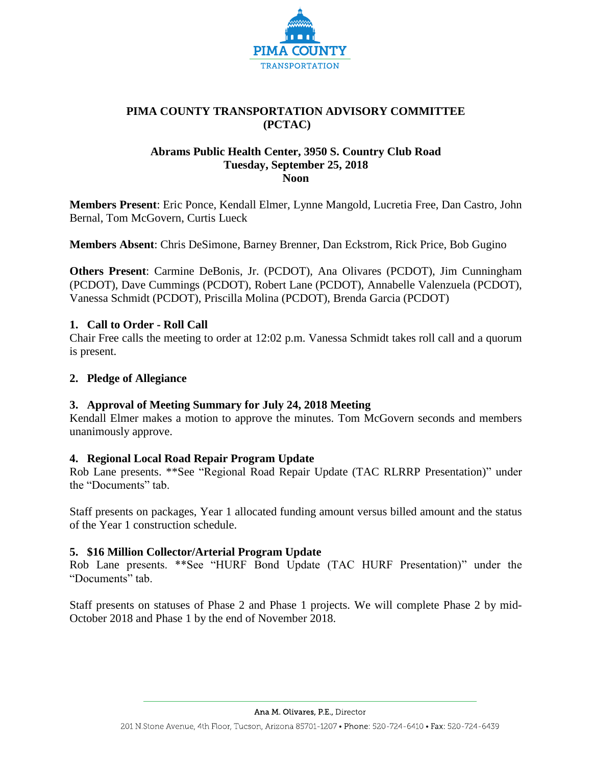

# **PIMA COUNTY TRANSPORTATION ADVISORY COMMITTEE (PCTAC)**

# **Abrams Public Health Center, 3950 S. Country Club Road Tuesday, September 25, 2018 Noon**

**Members Present**: Eric Ponce, Kendall Elmer, Lynne Mangold, Lucretia Free, Dan Castro, John Bernal, Tom McGovern, Curtis Lueck

**Members Absent**: Chris DeSimone, Barney Brenner, Dan Eckstrom, Rick Price, Bob Gugino

**Others Present**: Carmine DeBonis, Jr. (PCDOT), Ana Olivares (PCDOT), Jim Cunningham (PCDOT), Dave Cummings (PCDOT), Robert Lane (PCDOT), Annabelle Valenzuela (PCDOT), Vanessa Schmidt (PCDOT), Priscilla Molina (PCDOT), Brenda Garcia (PCDOT)

# **1. Call to Order - Roll Call**

Chair Free calls the meeting to order at 12:02 p.m. Vanessa Schmidt takes roll call and a quorum is present.

## **2. Pledge of Allegiance**

#### **3. Approval of Meeting Summary for July 24, 2018 Meeting**

Kendall Elmer makes a motion to approve the minutes. Tom McGovern seconds and members unanimously approve.

#### **4. Regional Local Road Repair Program Update**

Rob Lane presents. \*\*See "Regional Road Repair Update (TAC RLRRP Presentation)" under the "Documents" tab.

Staff presents on packages, Year 1 allocated funding amount versus billed amount and the status of the Year 1 construction schedule.

#### **5. \$16 Million Collector/Arterial Program Update**

Rob Lane presents. \*\*See "HURF Bond Update (TAC HURF Presentation)" under the "Documents" tab.

Staff presents on statuses of Phase 2 and Phase 1 projects. We will complete Phase 2 by mid-October 2018 and Phase 1 by the end of November 2018.